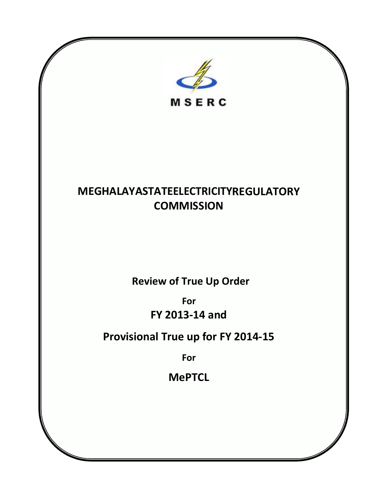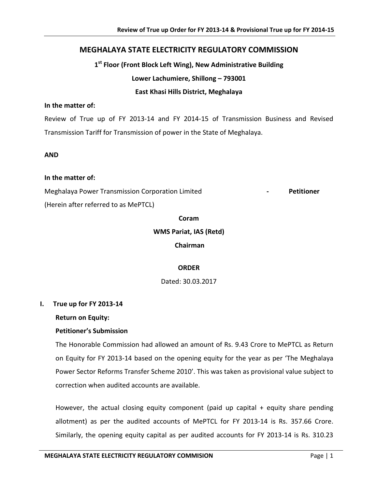# **MEGHALAYA STATE ELECTRICITY REGULATORY COMMISSION**

**1st Floor (Front Block Left Wing), New Administrative Building**

**Lower Lachumiere, Shillong – 793001**

### **East Khasi Hills District, Meghalaya**

#### **In the matter of:**

Review of True up of FY 2013-14 and FY 2014-15 of Transmission Business and Revised Transmission Tariff for Transmission of power in the State of Meghalaya.

#### **AND**

#### **In the matter of:**

Meghalaya Power Transmission Corporation Limited **- Petitioner**

(Herein after referred to as MePTCL)

**Coram** 

**WMS Pariat, IAS (Retd)**

**Chairman** 

## **ORDER**

Dated: 30.03.2017

#### **I. True up for FY 2013-14**

**Return on Equity:** 

#### **Petitioner's Submission**

The Honorable Commission had allowed an amount of Rs. 9.43 Crore to MePTCL as Return on Equity for FY 2013-14 based on the opening equity for the year as per 'The Meghalaya Power Sector Reforms Transfer Scheme 2010'. This was taken as provisional value subject to correction when audited accounts are available.

However, the actual closing equity component (paid up capital  $+$  equity share pending allotment) as per the audited accounts of MePTCL for FY 2013-14 is Rs. 357.66 Crore. Similarly, the opening equity capital as per audited accounts for FY 2013-14 is Rs. 310.23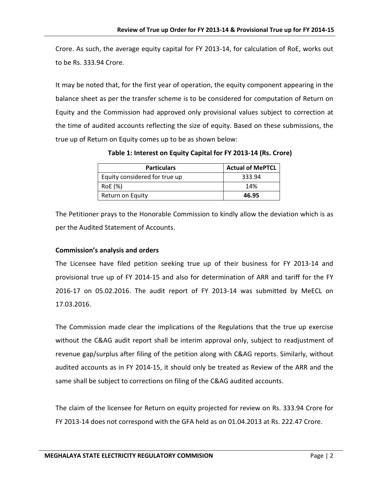Crore. As such, the average equity capital for FY 2013-14, for calculation of RoE, works out to be Rs. 333.94 Crore.

It may be noted that, for the first year of operation, the equity component appearing in the balance sheet as per the transfer scheme is to be considered for computation of Return on Equity and the Commission had approved only provisional values subject to correction at the time of audited accounts reflecting the size of equity. Based on these submissions, the true up of Return on Equity comes up to be as shown below:

**Table 1: Interest on Equity Capital for FY 2013-14 (Rs. Crore)**

| <b>Particulars</b>            | <b>Actual of MePTCL</b> |
|-------------------------------|-------------------------|
| Equity considered for true up | 333.94                  |
| RoE (%)                       | 14%                     |
| Return on Equity              | 46.95                   |

The Petitioner prays to the Honorable Commission to kindly allow the deviation which is as per the Audited Statement of Accounts.

## **Commission's analysis and orders**

The Licensee have filed petition seeking true up of their business for FY 2013-14 and provisional true up of FY 2014-15 and also for determination of ARR and tariff for the FY 2016-17 on 05.02.2016. The audit report of FY 2013-14 was submitted by MeECL on 17.03.2016.

The Commission made clear the implications of the Regulations that the true up exercise without the C&AG audit report shall be interim approval only, subject to readjustment of revenue gap/surplus after filing of the petition along with C&AG reports. Similarly, without audited accounts as in FY 2014-15, it should only be treated as Review of the ARR and the same shall be subject to corrections on filing of the C&AG audited accounts.

The claim of the licensee for Return on equity projected for review on Rs. 333.94 Crore for FY 2013-14 does not correspond with the GFA held as on 01.04.2013 at Rs. 222.47 Crore.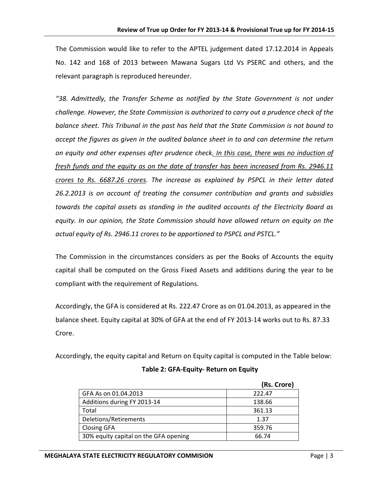The Commission would like to refer to the APTEL judgement dated 17.12.2014 in Appeals No. 142 and 168 of 2013 between Mawana Sugars Ltd Vs PSERC and others, and the relevant paragraph is reproduced hereunder.

*"38. Admittedly, the Transfer Scheme as notified by the State Government is not under challenge. However, the State Commission is authorized to carry out a prudence check of the balance sheet. This Tribunal in the past has held that the State Commission is not bound to accept the figures as given in the audited balance sheet in to and can determine the return on equity and other expenses after prudence check. In this case, there was no induction of fresh funds and the equity as on the date of transfer has been increased from Rs. 2946.11 crores to Rs. 6687.26 crores. The increase as explained by PSPCL in their letter dated 26.2.2013 is on account of treating the consumer contribution and grants and subsidies towards the capital assets as standing in the audited accounts of the Electricity Board as equity. In our opinion, the State Commission should have allowed return on equity on the actual equity of Rs. 2946.11 crores to be apportioned to PSPCL and PSTCL."*

The Commission in the circumstances considers as per the Books of Accounts the equity capital shall be computed on the Gross Fixed Assets and additions during the year to be compliant with the requirement of Regulations.

Accordingly, the GFA is considered at Rs. 222.47 Crore as on 01.04.2013, as appeared in the balance sheet. Equity capital at 30% of GFA at the end of FY 2013-14 works out to Rs. 87.33 Crore.

Accordingly, the equity capital and Return on Equity capital is computed in the Table below:

|                                       | (Rs. Crore) |
|---------------------------------------|-------------|
| GFA As on 01.04.2013                  | 222.47      |
| Additions during FY 2013-14           | 138.66      |
| Total                                 | 361.13      |
| Deletions/Retirements                 | 1.37        |
| <b>Closing GFA</b>                    | 359.76      |
| 30% equity capital on the GFA opening | 66.74       |

# **Table 2: GFA-Equity- Return on Equity**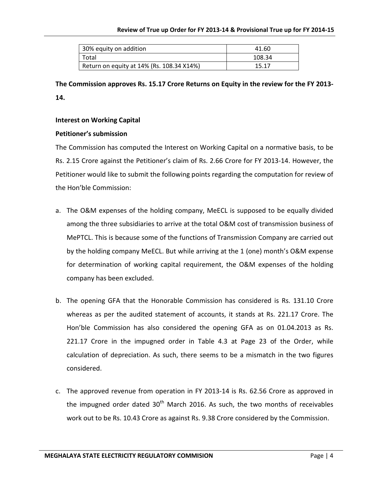| 30% equity on addition                    | 41.60  |
|-------------------------------------------|--------|
| Total                                     | 108.34 |
| Return on equity at 14% (Rs. 108.34 X14%) | 15.17  |

**The Commission approves Rs. 15.17 Crore Returns on Equity in the review for the FY 2013- 14.**

#### **Interest on Working Capital**

#### **Petitioner's submission**

The Commission has computed the Interest on Working Capital on a normative basis, to be Rs. 2.15 Crore against the Petitioner's claim of Rs. 2.66 Crore for FY 2013-14. However, the Petitioner would like to submit the following points regarding the computation for review of the Hon'ble Commission:

- a. The O&M expenses of the holding company, MeECL is supposed to be equally divided among the three subsidiaries to arrive at the total O&M cost of transmission business of MePTCL. This is because some of the functions of Transmission Company are carried out by the holding company MeECL. But while arriving at the 1 (one) month's O&M expense for determination of working capital requirement, the O&M expenses of the holding company has been excluded.
- b. The opening GFA that the Honorable Commission has considered is Rs. 131.10 Crore whereas as per the audited statement of accounts, it stands at Rs. 221.17 Crore. The Hon'ble Commission has also considered the opening GFA as on 01.04.2013 as Rs. 221.17 Crore in the impugned order in Table 4.3 at Page 23 of the Order, while calculation of depreciation. As such, there seems to be a mismatch in the two figures considered.
- c. The approved revenue from operation in FY 2013-14 is Rs. 62.56 Crore as approved in the impugned order dated  $30<sup>th</sup>$  March 2016. As such, the two months of receivables work out to be Rs. 10.43 Crore as against Rs. 9.38 Crore considered by the Commission.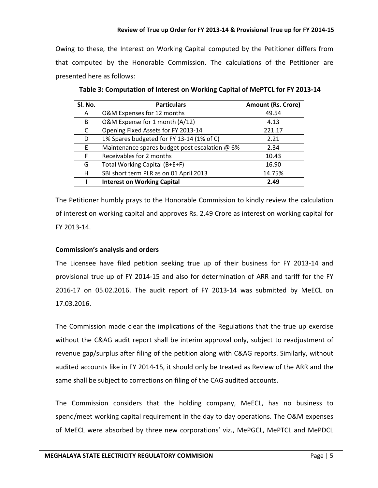Owing to these, the Interest on Working Capital computed by the Petitioner differs from that computed by the Honorable Commission. The calculations of the Petitioner are presented here as follows:

| Sl. No. | <b>Particulars</b>                             | <b>Amount (Rs. Crore)</b> |
|---------|------------------------------------------------|---------------------------|
| A       | O&M Expenses for 12 months                     | 49.54                     |
| B       | O&M Expense for 1 month (A/12)                 | 4.13                      |
| C       | Opening Fixed Assets for FY 2013-14            | 221.17                    |
| D       | 1% Spares budgeted for FY 13-14 (1% of C)      | 2.21                      |
| E.      | Maintenance spares budget post escalation @ 6% | 2.34                      |
| F       | Receivables for 2 months                       | 10.43                     |
| G       | Total Working Capital (B+E+F)                  | 16.90                     |
| н       | SBI short term PLR as on 01 April 2013         | 14.75%                    |
|         | <b>Interest on Working Capital</b>             | 2.49                      |

**Table 3: Computation of Interest on Working Capital of MePTCL for FY 2013-14**

The Petitioner humbly prays to the Honorable Commission to kindly review the calculation of interest on working capital and approves Rs. 2.49 Crore as interest on working capital for FY 2013-14.

## **Commission's analysis and orders**

The Licensee have filed petition seeking true up of their business for FY 2013-14 and provisional true up of FY 2014-15 and also for determination of ARR and tariff for the FY 2016-17 on 05.02.2016. The audit report of FY 2013-14 was submitted by MeECL on 17.03.2016.

The Commission made clear the implications of the Regulations that the true up exercise without the C&AG audit report shall be interim approval only, subject to readjustment of revenue gap/surplus after filing of the petition along with C&AG reports. Similarly, without audited accounts like in FY 2014-15, it should only be treated as Review of the ARR and the same shall be subject to corrections on filing of the CAG audited accounts.

The Commission considers that the holding company, MeECL, has no business to spend/meet working capital requirement in the day to day operations. The O&M expenses of MeECL were absorbed by three new corporations' viz., MePGCL, MePTCL and MePDCL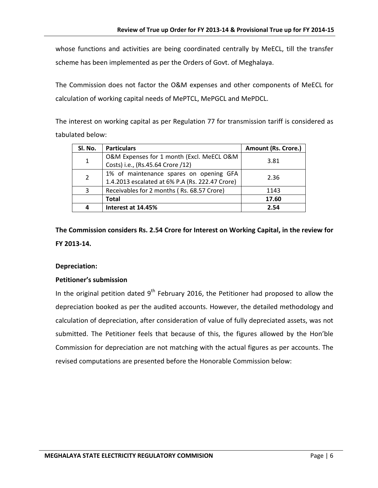whose functions and activities are being coordinated centrally by MeECL, till the transfer scheme has been implemented as per the Orders of Govt. of Meghalaya.

The Commission does not factor the O&M expenses and other components of MeECL for calculation of working capital needs of MePTCL, MePGCL and MePDCL.

The interest on working capital as per Regulation 77 for transmission tariff is considered as tabulated below:

| SI. No.        | <b>Particulars</b>                                                                         | <b>Amount (Rs. Crore.)</b> |
|----------------|--------------------------------------------------------------------------------------------|----------------------------|
| 1              | O&M Expenses for 1 month (Excl. MeECL O&M<br>Costs) i.e., (Rs.45.64 Crore /12)             | 3.81                       |
| $\overline{2}$ | 1% of maintenance spares on opening GFA<br>1.4.2013 escalated at 6% P.A (Rs. 222.47 Crore) | 2.36                       |
| 3              | Receivables for 2 months (Rs. 68.57 Crore)                                                 | 1143                       |
|                | <b>Total</b>                                                                               | 17.60                      |
| 4              | Interest at 14.45%                                                                         | 2.54                       |

**The Commission considers Rs. 2.54 Crore for Interest on Working Capital, in the review for FY 2013-14.**

#### **Depreciation:**

#### **Petitioner's submission**

In the original petition dated  $9<sup>th</sup>$  February 2016, the Petitioner had proposed to allow the depreciation booked as per the audited accounts. However, the detailed methodology and calculation of depreciation, after consideration of value of fully depreciated assets, was not submitted. The Petitioner feels that because of this, the figures allowed by the Hon'ble Commission for depreciation are not matching with the actual figures as per accounts. The revised computations are presented before the Honorable Commission below: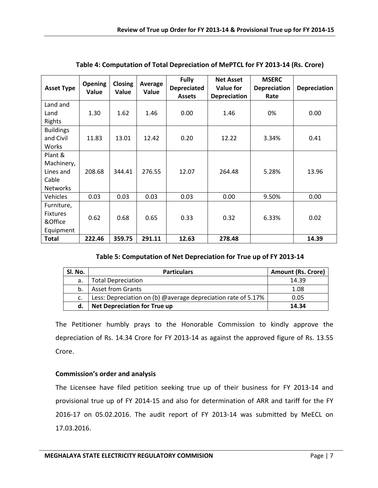| <b>Asset Type</b>                                              | <b>Opening</b><br>Value | <b>Closing</b><br>Value | Average<br>Value | <b>Fully</b><br><b>Depreciated</b><br><b>Assets</b> | <b>Net Asset</b><br><b>Value for</b><br><b>Depreciation</b> | <b>MSERC</b><br><b>Depreciation</b><br>Rate | <b>Depreciation</b> |
|----------------------------------------------------------------|-------------------------|-------------------------|------------------|-----------------------------------------------------|-------------------------------------------------------------|---------------------------------------------|---------------------|
| Land and<br>Land<br>Rights                                     | 1.30                    | 1.62                    | 1.46             | 0.00                                                | 1.46                                                        | 0%                                          | 0.00                |
| <b>Buildings</b><br>and Civil<br>Works                         | 11.83                   | 13.01                   | 12.42            | 0.20                                                | 12.22                                                       | 3.34%                                       | 0.41                |
| Plant &<br>Machinery,<br>Lines and<br>Cable<br><b>Networks</b> | 208.68                  | 344.41                  | 276.55           | 12.07                                               | 264.48                                                      | 5.28%                                       | 13.96               |
| <b>Vehicles</b>                                                | 0.03                    | 0.03                    | 0.03             | 0.03                                                | 0.00                                                        | 9.50%                                       | 0.00                |
| Furniture,<br><b>Fixtures</b><br>&Office<br>Equipment          | 0.62                    | 0.68                    | 0.65             | 0.33                                                | 0.32                                                        | 6.33%                                       | 0.02                |
| <b>Total</b>                                                   | 222.46                  | 359.75                  | 291.11           | 12.63                                               | 278.48                                                      |                                             | 14.39               |

|  | Table 4: Computation of Total Depreciation of MePTCL for FY 2013-14 (Rs. Crore) |  |
|--|---------------------------------------------------------------------------------|--|
|  |                                                                                 |  |

## **Table 5: Computation of Net Depreciation for True up of FY 2013-14**

| SI. No. | <b>Particulars</b>                                            | <b>Amount (Rs. Crore)</b> |
|---------|---------------------------------------------------------------|---------------------------|
| a.      | <b>Total Depreciation</b>                                     | 14.39                     |
| b.      | <b>Asset from Grants</b>                                      | 1.08                      |
| c.      | Less: Depreciation on (b) @average depreciation rate of 5.17% | 0.05                      |
| d.      | <b>Net Depreciation for True up</b>                           | 14.34                     |

The Petitioner humbly prays to the Honorable Commission to kindly approve the depreciation of Rs. 14.34 Crore for FY 2013-14 as against the approved figure of Rs. 13.55 Crore.

# **Commission's order and analysis**

The Licensee have filed petition seeking true up of their business for FY 2013-14 and provisional true up of FY 2014-15 and also for determination of ARR and tariff for the FY 2016-17 on 05.02.2016. The audit report of FY 2013-14 was submitted by MeECL on 17.03.2016.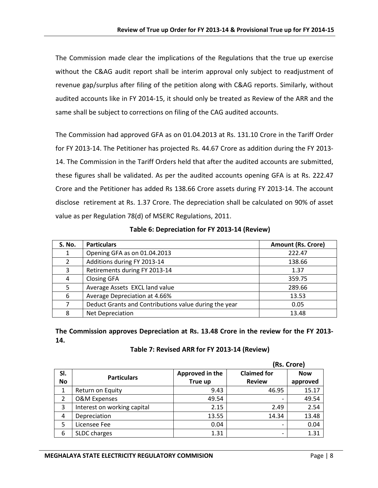The Commission made clear the implications of the Regulations that the true up exercise without the C&AG audit report shall be interim approval only subject to readjustment of revenue gap/surplus after filing of the petition along with C&AG reports. Similarly, without audited accounts like in FY 2014-15, it should only be treated as Review of the ARR and the same shall be subject to corrections on filing of the CAG audited accounts.

The Commission had approved GFA as on 01.04.2013 at Rs. 131.10 Crore in the Tariff Order for FY 2013-14. The Petitioner has projected Rs. 44.67 Crore as addition during the FY 2013- 14. The Commission in the Tariff Orders held that after the audited accounts are submitted, these figures shall be validated. As per the audited accounts opening GFA is at Rs. 222.47 Crore and the Petitioner has added Rs 138.66 Crore assets during FY 2013-14. The account disclose retirement at Rs. 1.37 Crore. The depreciation shall be calculated on 90% of asset value as per Regulation 78(d) of MSERC Regulations, 2011.

| <b>S. No.</b> | <b>Particulars</b>                                    | <b>Amount (Rs. Crore)</b> |
|---------------|-------------------------------------------------------|---------------------------|
| 1             | Opening GFA as on 01.04.2013                          | 222.47                    |
| $\mathcal{L}$ | Additions during FY 2013-14                           | 138.66                    |
| 3             | Retirements during FY 2013-14                         | 1.37                      |
| 4             | <b>Closing GFA</b>                                    | 359.75                    |
| 5             | Average Assets EXCL land value                        | 289.66                    |
| 6             | Average Depreciation at 4.66%                         | 13.53                     |
|               | Deduct Grants and Contributions value during the year | 0.05                      |
| 8             | Net Depreciation                                      | 13.48                     |

**Table 6: Depreciation for FY 2013-14 (Review)**

**The Commission approves Depreciation at Rs. 13.48 Crore in the review for the FY 2013- 14.**

|  | Table 7: Revised ARR for FY 2013-14 (Review) |  |  |  |  |
|--|----------------------------------------------|--|--|--|--|
|--|----------------------------------------------|--|--|--|--|

|                |                             |                 | (Rs. Crore)        |            |  |
|----------------|-----------------------------|-----------------|--------------------|------------|--|
| SI.            |                             | Approved in the | <b>Claimed for</b> | <b>Now</b> |  |
| <b>No</b>      | <b>Particulars</b>          | True up         | <b>Review</b>      | approved   |  |
| 1              | Return on Equity            | 9.43            | 46.95              | 15.17      |  |
| $\overline{2}$ | <b>O&amp;M Expenses</b>     | 49.54           | $\overline{ }$     | 49.54      |  |
| 3              | Interest on working capital | 2.15            | 2.49               | 2.54       |  |
| 4              | Depreciation                | 13.55           | 14.34              | 13.48      |  |
| 5              | Licensee Fee                | 0.04            | -                  | 0.04       |  |
| 6              | SLDC charges                | 1.31            | -                  | 1.31       |  |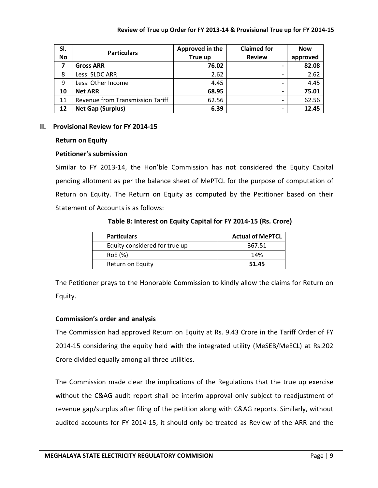| SI.       | <b>Particulars</b>               | Approved in the | <b>Claimed for</b> | <b>Now</b> |
|-----------|----------------------------------|-----------------|--------------------|------------|
| <b>No</b> |                                  | True up         | <b>Review</b>      | approved   |
| 7         | <b>Gross ARR</b>                 | 76.02           |                    | 82.08      |
| 8         | Less: SLDC ARR                   | 2.62            |                    | 2.62       |
| 9         | Less: Other Income               | 4.45            |                    | 4.45       |
| 10        | <b>Net ARR</b>                   | 68.95           |                    | 75.01      |
| 11        | Revenue from Transmission Tariff | 62.56           |                    | 62.56      |
| 12        | <b>Net Gap (Surplus)</b>         | 6.39            |                    | 12.45      |

#### **II. Provisional Review for FY 2014-15**

#### **Return on Equity**

#### **Petitioner's submission**

Similar to FY 2013-14, the Hon'ble Commission has not considered the Equity Capital pending allotment as per the balance sheet of MePTCL for the purpose of computation of Return on Equity. The Return on Equity as computed by the Petitioner based on their Statement of Accounts is as follows:

**Table 8: Interest on Equity Capital for FY 2014-15 (Rs. Crore)**

| <b>Particulars</b>            | <b>Actual of MePTCL</b> |
|-------------------------------|-------------------------|
| Equity considered for true up | 367.51                  |
| RoE (%)                       | 14%                     |
| Return on Equity              | 51.45                   |

The Petitioner prays to the Honorable Commission to kindly allow the claims for Return on Equity.

#### **Commission's order and analysis**

The Commission had approved Return on Equity at Rs. 9.43 Crore in the Tariff Order of FY 2014-15 considering the equity held with the integrated utility (MeSEB/MeECL) at Rs.202 Crore divided equally among all three utilities.

The Commission made clear the implications of the Regulations that the true up exercise without the C&AG audit report shall be interim approval only subject to readjustment of revenue gap/surplus after filing of the petition along with C&AG reports. Similarly, without audited accounts for FY 2014-15, it should only be treated as Review of the ARR and the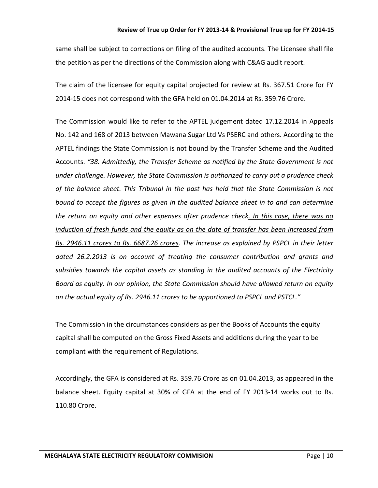same shall be subject to corrections on filing of the audited accounts. The Licensee shall file the petition as per the directions of the Commission along with C&AG audit report.

The claim of the licensee for equity capital projected for review at Rs. 367.51 Crore for FY 2014-15 does not correspond with the GFA held on 01.04.2014 at Rs. 359.76 Crore.

The Commission would like to refer to the APTEL judgement dated 17.12.2014 in Appeals No. 142 and 168 of 2013 between Mawana Sugar Ltd Vs PSERC and others. According to the APTEL findings the State Commission is not bound by the Transfer Scheme and the Audited Accounts. *"38. Admittedly, the Transfer Scheme as notified by the State Government is not under challenge. However, the State Commission is authorized to carry out a prudence check of the balance sheet. This Tribunal in the past has held that the State Commission is not bound to accept the figures as given in the audited balance sheet in to and can determine the return on equity and other expenses after prudence check. In this case, there was no induction of fresh funds and the equity as on the date of transfer has been increased from Rs. 2946.11 crores to Rs. 6687.26 crores. The increase as explained by PSPCL in their letter dated 26.2.2013 is on account of treating the consumer contribution and grants and subsidies towards the capital assets as standing in the audited accounts of the Electricity Board as equity. In our opinion, the State Commission should have allowed return on equity on the actual equity of Rs. 2946.11 crores to be apportioned to PSPCL and PSTCL."*

The Commission in the circumstances considers as per the Books of Accounts the equity capital shall be computed on the Gross Fixed Assets and additions during the year to be compliant with the requirement of Regulations.

Accordingly, the GFA is considered at Rs. 359.76 Crore as on 01.04.2013, as appeared in the balance sheet. Equity capital at 30% of GFA at the end of FY 2013-14 works out to Rs. 110.80 Crore.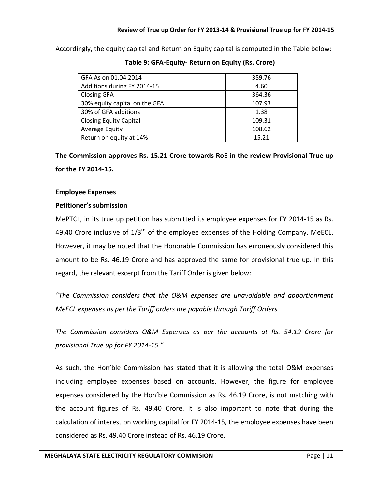Accordingly, the equity capital and Return on Equity capital is computed in the Table below:

| GFA As on 01.04.2014          | 359.76 |  |  |
|-------------------------------|--------|--|--|
| Additions during FY 2014-15   | 4.60   |  |  |
| <b>Closing GFA</b>            | 364.36 |  |  |
| 30% equity capital on the GFA | 107.93 |  |  |
| 30% of GFA additions          | 1.38   |  |  |
| <b>Closing Equity Capital</b> | 109.31 |  |  |
| Average Equity                | 108.62 |  |  |
| Return on equity at 14%       | 15.21  |  |  |

**Table 9: GFA-Equity- Return on Equity (Rs. Crore)**

**The Commission approves Rs. 15.21 Crore towards RoE in the review Provisional True up for the FY 2014-15.**

### **Employee Expenses**

### **Petitioner's submission**

MePTCL, in its true up petition has submitted its employee expenses for FY 2014-15 as Rs. 49.40 Crore inclusive of  $1/3^{rd}$  of the employee expenses of the Holding Company, MeECL. However, it may be noted that the Honorable Commission has erroneously considered this amount to be Rs. 46.19 Crore and has approved the same for provisional true up. In this regard, the relevant excerpt from the Tariff Order is given below:

*"The Commission considers that the O&M expenses are unavoidable and apportionment MeECL expenses as per the Tariff orders are payable through Tariff Orders.* 

*The Commission considers O&M Expenses as per the accounts at Rs. 54.19 Crore for provisional True up for FY 2014-15."*

As such, the Hon'ble Commission has stated that it is allowing the total O&M expenses including employee expenses based on accounts. However, the figure for employee expenses considered by the Hon'ble Commission as Rs. 46.19 Crore, is not matching with the account figures of Rs. 49.40 Crore. It is also important to note that during the calculation of interest on working capital for FY 2014-15, the employee expenses have been considered as Rs. 49.40 Crore instead of Rs. 46.19 Crore.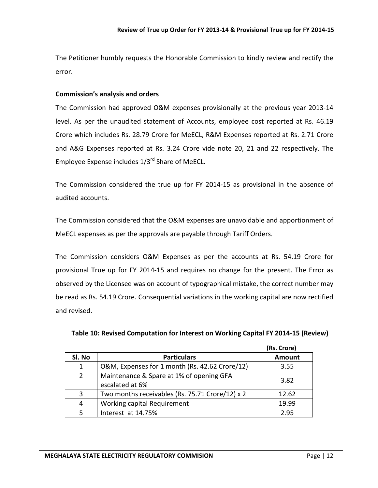The Petitioner humbly requests the Honorable Commission to kindly review and rectify the error.

#### **Commission's analysis and orders**

The Commission had approved O&M expenses provisionally at the previous year 2013-14 level. As per the unaudited statement of Accounts, employee cost reported at Rs. 46.19 Crore which includes Rs. 28.79 Crore for MeECL, R&M Expenses reported at Rs. 2.71 Crore and A&G Expenses reported at Rs. 3.24 Crore vide note 20, 21 and 22 respectively. The Employee Expense includes 1/3rd Share of MeECL.

The Commission considered the true up for FY 2014-15 as provisional in the absence of audited accounts.

The Commission considered that the O&M expenses are unavoidable and apportionment of MeECL expenses as per the approvals are payable through Tariff Orders.

The Commission considers O&M Expenses as per the accounts at Rs. 54.19 Crore for provisional True up for FY 2014-15 and requires no change for the present. The Error as observed by the Licensee was on account of typographical mistake, the correct number may be read as Rs. 54.19 Crore. Consequential variations in the working capital are now rectified and revised.

|             |                                                             | (Rs. Crore) |
|-------------|-------------------------------------------------------------|-------------|
| SI. No      | <b>Particulars</b>                                          | Amount      |
| 1           | O&M, Expenses for 1 month (Rs. 42.62 Crore/12)              | 3.55        |
| $2^{\circ}$ | Maintenance & Spare at 1% of opening GFA<br>escalated at 6% | 3.82        |
| 3           | Two months receivables (Rs. 75.71 Crore/12) x 2             | 12.62       |
| 4           | Working capital Requirement                                 | 19.99       |
| 5           | Interest at 14.75%                                          | 295         |

**Table 10: Revised Computation for Interest on Working Capital FY 2014-15 (Review)**